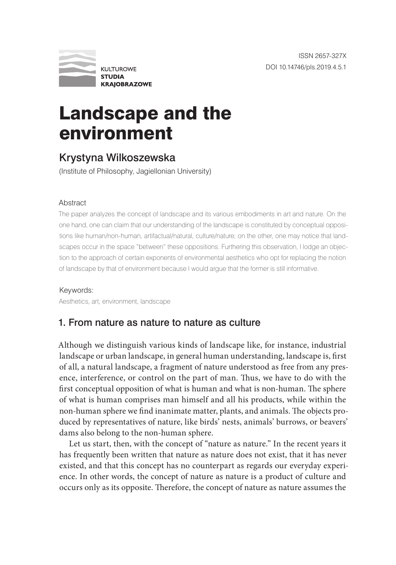

# Landscape and the environment

## Krystyna Wilkoszewska

(Institute of Philosophy, Jagiellonian University)

#### **Abstract**

The paper analyzes the concept of landscape and its various embodiments in art and nature. On the one hand, one can claim that our understanding of the landscape is constituted by conceptual oppositions like human/non-human, artifactual/natural, culture/nature; on the other, one may notice that landscapes occur in the space "between" these oppositions. Furthering this observation, I lodge an objection to the approach of certain exponents of environmental aesthetics who opt for replacing the notion of landscape by that of environment because I would argue that the former is still informative.

Keywords: Aesthetics, art, environment, landscape

## 1. From nature as nature to nature as culture

Although we distinguish various kinds of landscape like, for instance, industrial landscape or urban landscape, in general human understanding, landscape is, first of all, a natural landscape, a fragment of nature understood as free from any presence, interference, or control on the part of man. Thus, we have to do with the first conceptual opposition of what is human and what is non-human. The sphere of what is human comprises man himself and all his products, while within the non-human sphere we find inanimate matter, plants, and animals. The objects produced by representatives of nature, like birds' nests, animals' burrows, or beavers' dams also belong to the non-human sphere.

Let us start, then, with the concept of "nature as nature." In the recent years it has frequently been written that nature as nature does not exist, that it has never existed, and that this concept has no counterpart as regards our everyday experience. In other words, the concept of nature as nature is a product of culture and occurs only as its opposite. Therefore, the concept of nature as nature assumes the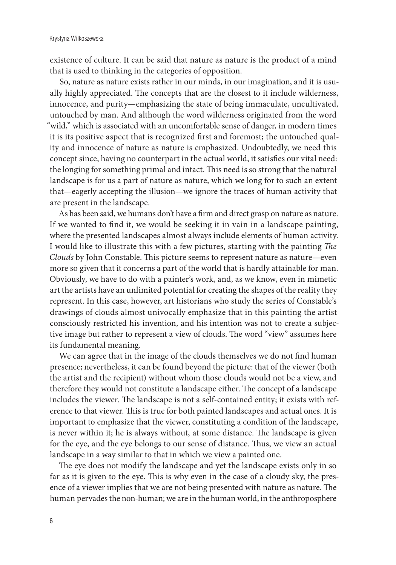existence of culture. It can be said that nature as nature is the product of a mind that is used to thinking in the categories of opposition.

So, nature as nature exists rather in our minds, in our imagination, and it is usually highly appreciated. The concepts that are the closest to it include wilderness, innocence, and purity—emphasizing the state of being immaculate, uncultivated, untouched by man. And although the word wilderness originated from the word "wild," which is associated with an uncomfortable sense of danger, in modern times it is its positive aspect that is recognized first and foremost; the untouched quality and innocence of nature as nature is emphasized. Undoubtedly, we need this concept since, having no counterpart in the actual world, it satisfies our vital need: the longing for something primal and intact. This need is so strong that the natural landscape is for us a part of nature as nature, which we long for to such an extent that—eagerly accepting the illusion—we ignore the traces of human activity that are present in the landscape.

As has been said, we humans don't have a firm and direct grasp on nature as nature. If we wanted to find it, we would be seeking it in vain in a landscape painting, where the presented landscapes almost always include elements of human activity. I would like to illustrate this with a few pictures, starting with the painting *The Clouds* by John Constable. This picture seems to represent nature as nature—even more so given that it concerns a part of the world that is hardly attainable for man. Obviously, we have to do with a painter's work, and, as we know, even in mimetic art the artists have an unlimited potential for creating the shapes of the reality they represent. In this case, however, art historians who study the series of Constable's drawings of clouds almost univocally emphasize that in this painting the artist consciously restricted his invention, and his intention was not to create a subjective image but rather to represent a view of clouds. The word "view" assumes here its fundamental meaning.

We can agree that in the image of the clouds themselves we do not find human presence; nevertheless, it can be found beyond the picture: that of the viewer (both the artist and the recipient) without whom those clouds would not be a view, and therefore they would not constitute a landscape either. The concept of a landscape includes the viewer. The landscape is not a self-contained entity; it exists with reference to that viewer. This is true for both painted landscapes and actual ones. It is important to emphasize that the viewer, constituting a condition of the landscape, is never within it; he is always without, at some distance. The landscape is given for the eye, and the eye belongs to our sense of distance. Thus, we view an actual landscape in a way similar to that in which we view a painted one.

The eye does not modify the landscape and yet the landscape exists only in so far as it is given to the eye. This is why even in the case of a cloudy sky, the presence of a viewer implies that we are not being presented with nature as nature. The human pervades the non-human; we are in the human world, in the anthroposphere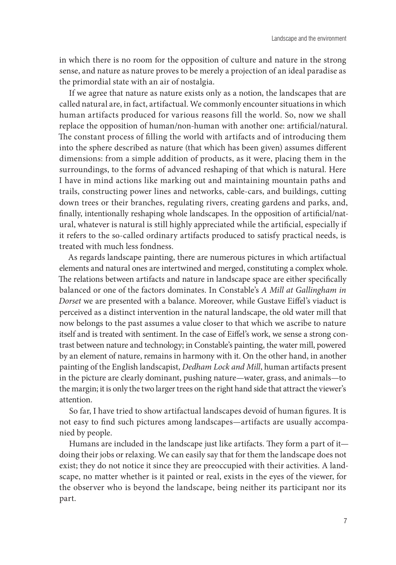in which there is no room for the opposition of culture and nature in the strong sense, and nature as nature proves to be merely a projection of an ideal paradise as the primordial state with an air of nostalgia.

If we agree that nature as nature exists only as a notion, the landscapes that are called natural are, in fact, artifactual. We commonly encounter situations in which human artifacts produced for various reasons fill the world. So, now we shall replace the opposition of human/non-human with another one: artificial/natural. The constant process of filling the world with artifacts and of introducing them into the sphere described as nature (that which has been given) assumes different dimensions: from a simple addition of products, as it were, placing them in the surroundings, to the forms of advanced reshaping of that which is natural. Here I have in mind actions like marking out and maintaining mountain paths and trails, constructing power lines and networks, cable-cars, and buildings, cutting down trees or their branches, regulating rivers, creating gardens and parks, and, finally, intentionally reshaping whole landscapes. In the opposition of artificial/natural, whatever is natural is still highly appreciated while the artificial, especially if it refers to the so-called ordinary artifacts produced to satisfy practical needs, is treated with much less fondness.

As regards landscape painting, there are numerous pictures in which artifactual elements and natural ones are intertwined and merged, constituting a complex whole. The relations between artifacts and nature in landscape space are either specifically balanced or one of the factors dominates. In Constable's *A Mill at Gallingham in Dorset* we are presented with a balance. Moreover, while Gustave Eiffel's viaduct is perceived as a distinct intervention in the natural landscape, the old water mill that now belongs to the past assumes a value closer to that which we ascribe to nature itself and is treated with sentiment. In the case of Eiffel's work, we sense a strong contrast between nature and technology; in Constable's painting, the water mill, powered by an element of nature, remains in harmony with it. On the other hand, in another painting of the English landscapist, *Dedham Lock and Mill*, human artifacts present in the picture are clearly dominant, pushing nature—water, grass, and animals—to the margin; it is only the two larger trees on the right hand side that attract the viewer's attention.

So far, I have tried to show artifactual landscapes devoid of human figures. It is not easy to find such pictures among landscapes—artifacts are usually accompanied by people.

Humans are included in the landscape just like artifacts. They form a part of it doing their jobs or relaxing. We can easily say that for them the landscape does not exist; they do not notice it since they are preoccupied with their activities. A landscape, no matter whether is it painted or real, exists in the eyes of the viewer, for the observer who is beyond the landscape, being neither its participant nor its part.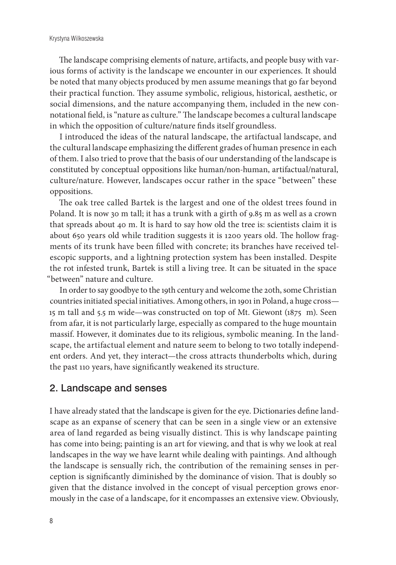The landscape comprising elements of nature, artifacts, and people busy with various forms of activity is the landscape we encounter in our experiences. It should be noted that many objects produced by men assume meanings that go far beyond their practical function. They assume symbolic, religious, historical, aesthetic, or social dimensions, and the nature accompanying them, included in the new connotational field, is "nature as culture." The landscape becomes a cultural landscape in which the opposition of culture/nature finds itself groundless.

I introduced the ideas of the natural landscape, the artifactual landscape, and the cultural landscape emphasizing the different grades of human presence in each of them. I also tried to prove that the basis of our understanding of the landscape is constituted by conceptual oppositions like human/non-human, artifactual/natural, culture/nature. However, landscapes occur rather in the space "between" these oppositions.

The oak tree called Bartek is the largest and one of the oldest trees found in Poland. It is now 30 m tall; it has a trunk with a girth of 9.85 m as well as a crown that spreads about 40 m. It is hard to say how old the tree is: scientists claim it is about 650 years old while tradition suggests it is 1200 years old. The hollow fragments of its trunk have been filled with concrete; its branches have received telescopic supports, and a lightning protection system has been installed. Despite the rot infested trunk, Bartek is still a living tree. It can be situated in the space "between" nature and culture.

In order to say goodbye to the 19th century and welcome the 20th, some Christian countries initiated special initiatives. Among others, in 1901 in Poland, a huge cross— 15 m tall and 5.5 m wide—was constructed on top of Mt. Giewont (1875 m). Seen from afar, it is not particularly large, especially as compared to the huge mountain massif. However, it dominates due to its religious, symbolic meaning. In the landscape, the artifactual element and nature seem to belong to two totally independent orders. And yet, they interact—the cross attracts thunderbolts which, during the past 110 years, have significantly weakened its structure.

#### 2. Landscape and senses

I have already stated that the landscape is given for the eye. Dictionaries define landscape as an expanse of scenery that can be seen in a single view or an extensive area of land regarded as being visually distinct. This is why landscape painting has come into being; painting is an art for viewing, and that is why we look at real landscapes in the way we have learnt while dealing with paintings. And although the landscape is sensually rich, the contribution of the remaining senses in perception is significantly diminished by the dominance of vision. That is doubly so given that the distance involved in the concept of visual perception grows enormously in the case of a landscape, for it encompasses an extensive view. Obviously,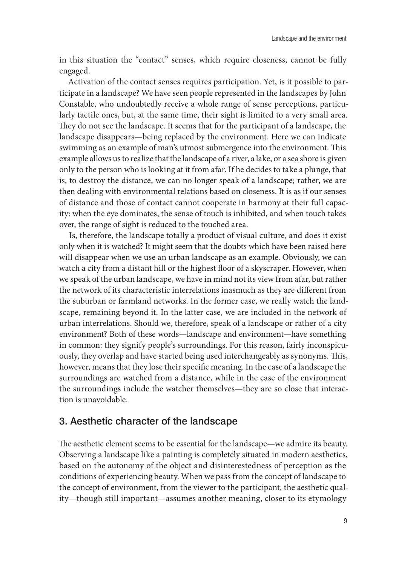in this situation the "contact" senses, which require closeness, cannot be fully engaged.

Activation of the contact senses requires participation. Yet, is it possible to participate in a landscape? We have seen people represented in the landscapes by John Constable, who undoubtedly receive a whole range of sense perceptions, particularly tactile ones, but, at the same time, their sight is limited to a very small area. They do not see the landscape. It seems that for the participant of a landscape, the landscape disappears—being replaced by the environment. Here we can indicate swimming as an example of man's utmost submergence into the environment. This example allows us to realize that the landscape of a river, a lake, or a sea shore is given only to the person who is looking at it from afar. If he decides to take a plunge, that is, to destroy the distance, we can no longer speak of a landscape; rather, we are then dealing with environmental relations based on closeness. It is as if our senses of distance and those of contact cannot cooperate in harmony at their full capacity: when the eye dominates, the sense of touch is inhibited, and when touch takes over, the range of sight is reduced to the touched area.

Is, therefore, the landscape totally a product of visual culture, and does it exist only when it is watched? It might seem that the doubts which have been raised here will disappear when we use an urban landscape as an example. Obviously, we can watch a city from a distant hill or the highest floor of a skyscraper. However, when we speak of the urban landscape, we have in mind not its view from afar, but rather the network of its characteristic interrelations inasmuch as they are different from the suburban or farmland networks. In the former case, we really watch the landscape, remaining beyond it. In the latter case, we are included in the network of urban interrelations. Should we, therefore, speak of a landscape or rather of a city environment? Both of these words—landscape and environment—have something in common: they signify people's surroundings. For this reason, fairly inconspicuously, they overlap and have started being used interchangeably as synonyms. This, however, means that they lose their specific meaning. In the case of a landscape the surroundings are watched from a distance, while in the case of the environment the surroundings include the watcher themselves—they are so close that interaction is unavoidable.

### 3. Aesthetic character of the landscape

The aesthetic element seems to be essential for the landscape—we admire its beauty. Observing a landscape like a painting is completely situated in modern aesthetics, based on the autonomy of the object and disinterestedness of perception as the conditions of experiencing beauty. When we pass from the concept of landscape to the concept of environment, from the viewer to the participant, the aesthetic quality—though still important—assumes another meaning, closer to its etymology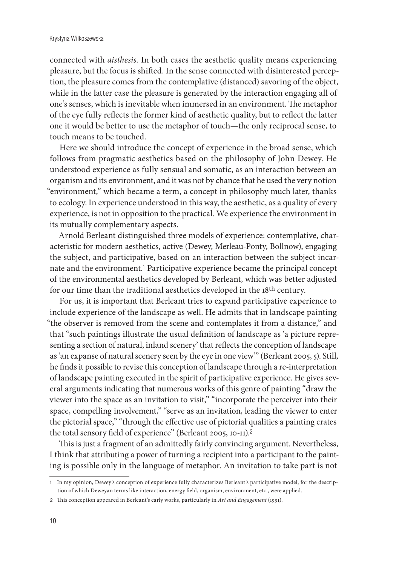#### Krystyna Wilkoszewska

connected with *aisthesis.* In both cases the aesthetic quality means experiencing pleasure, but the focus is shifted. In the sense connected with disinterested perception, the pleasure comes from the contemplative (distanced) savoring of the object, while in the latter case the pleasure is generated by the interaction engaging all of one's senses, which is inevitable when immersed in an environment. The metaphor of the eye fully reflects the former kind of aesthetic quality, but to reflect the latter one it would be better to use the metaphor of touch—the only reciprocal sense, to touch means to be touched.

Here we should introduce the concept of experience in the broad sense, which follows from pragmatic aesthetics based on the philosophy of John Dewey. He understood experience as fully sensual and somatic, as an interaction between an organism and its environment, and it was not by chance that he used the very notion "environment," which became a term, a concept in philosophy much later, thanks to ecology. In experience understood in this way, the aesthetic, as a quality of every experience, is not in opposition to the practical. We experience the environment in its mutually complementary aspects.

Arnold Berleant distinguished three models of experience: contemplative, characteristic for modern aesthetics, active (Dewey, Merleau-Ponty, Bollnow), engaging the subject, and participative, based on an interaction between the subject incarnate and the environment.1 Participative experience became the principal concept of the environmental aesthetics developed by Berleant, which was better adjusted for our time than the traditional aesthetics developed in the 18th century.

For us, it is important that Berleant tries to expand participative experience to include experience of the landscape as well. He admits that in landscape painting "the observer is removed from the scene and contemplates it from a distance," and that "such paintings illustrate the usual definition of landscape as 'a picture representing a section of natural, inland scenery' that reflects the conception of landscape as 'an expanse of natural scenery seen by the eye in one view'" (Berleant 2005, 5). Still, he finds it possible to revise this conception of landscape through a re-interpretation of landscape painting executed in the spirit of participative experience. He gives several arguments indicating that numerous works of this genre of painting "draw the viewer into the space as an invitation to visit," "incorporate the perceiver into their space, compelling involvement," "serve as an invitation, leading the viewer to enter the pictorial space," "through the effective use of pictorial qualities a painting crates the total sensory field of experience" (Berleant 2005, 10-11).<sup>2</sup>

This is just a fragment of an admittedly fairly convincing argument. Nevertheless, I think that attributing a power of turning a recipient into a participant to the painting is possible only in the language of metaphor. An invitation to take part is not

<sup>1</sup> In my opinion, Dewey's conception of experience fully characterizes Berleant's participative model, for the description of which Deweyan terms like interaction, energy field, organism, environment, etc., were applied.

<sup>2</sup> This conception appeared in Berleant's early works, particularly in *Art and Engagement* (1991).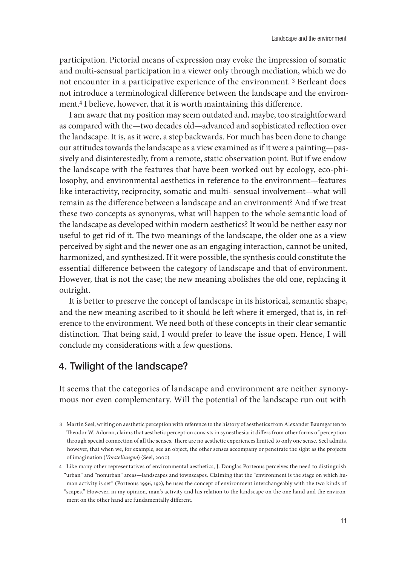participation. Pictorial means of expression may evoke the impression of somatic and multi-sensual participation in a viewer only through mediation, which we do not encounter in a participative experience of the environment. <sup>3</sup> Berleant does not introduce a terminological difference between the landscape and the environment.4 I believe, however, that it is worth maintaining this difference.

I am aware that my position may seem outdated and, maybe, too straightforward as compared with the—two decades old—advanced and sophisticated reflection over the landscape. It is, as it were, a step backwards. For much has been done to change our attitudes towards the landscape as a view examined as if it were a painting—passively and disinterestedly, from a remote, static observation point. But if we endow the landscape with the features that have been worked out by ecology, eco-philosophy, and environmental aesthetics in reference to the environment—features like interactivity, reciprocity, somatic and multi- sensual involvement—what will remain as the difference between a landscape and an environment? And if we treat these two concepts as synonyms, what will happen to the whole semantic load of the landscape as developed within modern aesthetics? It would be neither easy nor useful to get rid of it. The two meanings of the landscape, the older one as a view perceived by sight and the newer one as an engaging interaction, cannot be united, harmonized, and synthesized. If it were possible, the synthesis could constitute the essential difference between the category of landscape and that of environment. However, that is not the case; the new meaning abolishes the old one, replacing it outright.

It is better to preserve the concept of landscape in its historical, semantic shape, and the new meaning ascribed to it should be left where it emerged, that is, in reference to the environment. We need both of these concepts in their clear semantic distinction. That being said, I would prefer to leave the issue open. Hence, I will conclude my considerations with a few questions.

### 4. Twilight of the landscape?

It seems that the categories of landscape and environment are neither synonymous nor even complementary. Will the potential of the landscape run out with

<sup>3</sup> Martin Seel, writing on aesthetic perception with reference to the history of aesthetics from Alexander Baumgarten to Theodor W. Adorno, claims that aesthetic perception consists in synesthesia; it differs from other forms of perception through special connection of all the senses. There are no aesthetic experiences limited to only one sense. Seel admits, however, that when we, for example, see an object, the other senses accompany or penetrate the sight as the projects of imagination (*Vorstellungen*) (Seel, 2000).

<sup>4</sup> Like many other representatives of environmental aesthetics, J. Douglas Porteous perceives the need to distinguish "urban" and "nonurban" areas—landscapes and townscapes. Claiming that the "environment is the stage on which human activity is set" (Porteous 1996, 192), he uses the concept of environment interchangeably with the two kinds of "scapes." However, in my opinion, man's activity and his relation to the landscape on the one hand and the environment on the other hand are fundamentally different.